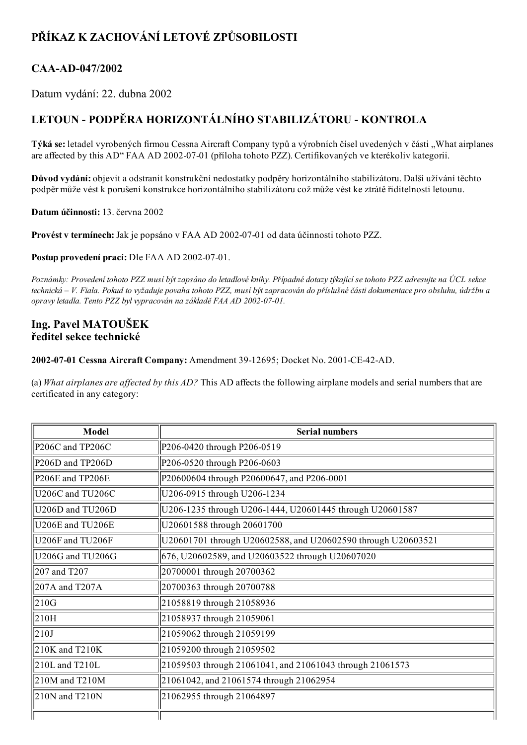## PŘÍKAZ K ZACHOVÁNÍ LETOVÉ ZPŮSOBILOSTI

## CAA-AD-047/2002

Datum vydání: 22. dubna 2002

## LETOUN PODPĚRA HORIZONTÁLNÍHO STABILIZÁTORU KONTROLA

Týká se: letadel vyrobených firmou Cessna Aircraft Company typů a výrobních čísel uvedených v části "What airplanes are affected by this AD" FAA AD 2002-07-01 (příloha tohoto PZZ). Certifikovaných ve kterékoliv kategorii.

Důvod vydání: objevit a odstranit konstrukční nedostatky podpěry horizontálního stabilizátoru. Další užívání těchto podpěr může vést k porušení konstrukce horizontálního stabilizátoru což může vést ke ztrátě řiditelnosti letounu.

Datum účinnosti: 13. června 2002

Provést v termínech: Jak je popsáno v FAA AD 2002-07-01 od data účinnosti tohoto PZZ.

Postup provedení prací: Dle FAA AD 2002-07-01.

Poznámky: Provedení tohoto PZZ musí být zapsáno do letadlové knihy. Případné dotazy týkající se tohoto PZZ adresujte na ÚCL sekce technická – V. Fiala. Pokud to vyžaduje povaha tohoto PZZ, musí být zapracován do příslušné části dokumentace pro obsluhu, údržbu a opravy letadla. Tento PZZ byl vypracován na základě FAA AD 2002-07-01.

## Ing. Pavel MATOUŠEK ředitel sekce technické

2002-07-01 Cessna Aircraft Company: Amendment 39-12695; Docket No. 2001-CE-42-AD.

(a) What airplanes are affected by this  $AD$ ? This AD affects the following airplane models and serial numbers that are certificated in any category:

| Model            | <b>Serial numbers</b>                                        |
|------------------|--------------------------------------------------------------|
| P206C and TP206C | P206-0420 through P206-0519                                  |
| P206D and TP206D | P206-0520 through P206-0603                                  |
| P206E and TP206E | P20600604 through P20600647, and P206-0001                   |
| U206C and TU206C | U206-0915 through U206-1234                                  |
| U206D and TU206D | U206-1235 through U206-1444, U20601445 through U20601587     |
| U206E and TU206E | U20601588 through 20601700                                   |
| U206F and TU206F | U20601701 through U20602588, and U20602590 through U20603521 |
| U206G and TU206G | 676, U20602589, and U20603522 through U20607020              |
| 207 and T207     | 20700001 through 20700362                                    |
| 207A and T207A   | 20700363 through 20700788                                    |
| 210G             | 21058819 through 21058936                                    |
| 210H             | 21058937 through 21059061                                    |
| 210J             | 21059062 through 21059199                                    |
| 210K and T210K   | 21059200 through 21059502                                    |
| 210L and T210L   | 21059503 through 21061041, and 21061043 through 21061573     |
| 210M and T210M   | 21061042, and 21061574 through 21062954                      |
| 210N and T210N   | 21062955 through 21064897                                    |
|                  |                                                              |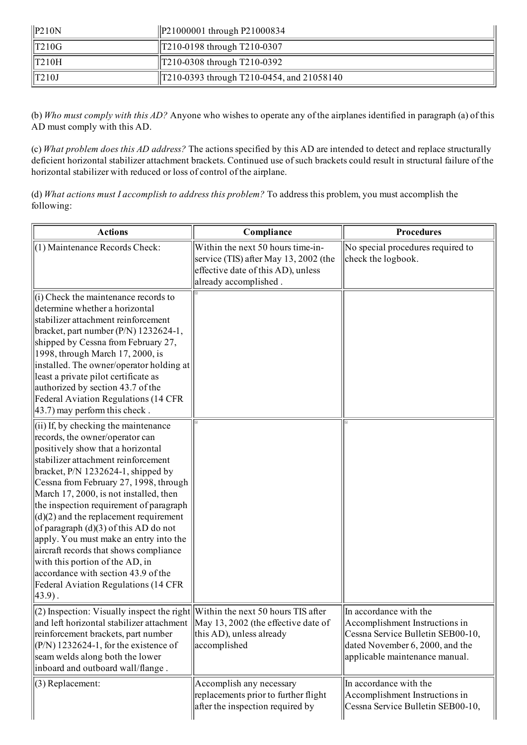| $\vert$ P <sub>210</sub> N | $\text{P21000001}$ through P21000834      |
|----------------------------|-------------------------------------------|
| $\vert$ T210G              | $\text{T210-0198}$ through T210-0307      |
| $\parallel$ T210H          | T210-0308 through T210-0392               |
| $\parallel$ T210J          | T210-0393 through T210-0454, and 21058140 |

(b) Who must comply with this AD? Anyone who wishes to operate any of the airplanes identified in paragraph (a) of this AD must comply with this AD.

(c) What problem does this AD address? The actions specified by this AD are intended to detect and replace structurally deficient horizontal stabilizer attachment brackets. Continued use of such brackets could result in structural failure of the horizontal stabilizer with reduced or loss of control of the airplane.

(d) What actions must I accomplish to address this problem? To address this problem, you must accomplish the following:

| <b>Actions</b>                                                                                                                                                                                                                                                                                                                                                                                                                                                                                                                                                                                                                  | Compliance                                                                                                                                | <b>Procedures</b>                                                                                                                                                  |
|---------------------------------------------------------------------------------------------------------------------------------------------------------------------------------------------------------------------------------------------------------------------------------------------------------------------------------------------------------------------------------------------------------------------------------------------------------------------------------------------------------------------------------------------------------------------------------------------------------------------------------|-------------------------------------------------------------------------------------------------------------------------------------------|--------------------------------------------------------------------------------------------------------------------------------------------------------------------|
| (1) Maintenance Records Check:                                                                                                                                                                                                                                                                                                                                                                                                                                                                                                                                                                                                  | Within the next 50 hours time-in-<br>service (TIS) after May 13, 2002 (the<br>effective date of this AD), unless<br>already accomplished. | No special procedures required to<br>check the logbook.                                                                                                            |
| (i) Check the maintenance records to<br>determine whether a horizontal<br>stabilizer attachment reinforcement<br>bracket, part number (P/N) 1232624-1,<br>shipped by Cessna from February 27,<br>1998, through March 17, 2000, is<br>installed. The owner/operator holding at<br>least a private pilot certificate as<br>authorized by section 43.7 of the<br>Federal Aviation Regulations (14 CFR<br>43.7) may perform this check.                                                                                                                                                                                             |                                                                                                                                           |                                                                                                                                                                    |
| (ii) If, by checking the maintenance<br>records, the owner/operator can<br>positively show that a horizontal<br>stabilizer attachment reinforcement<br>bracket, P/N 1232624-1, shipped by<br>Cessna from February 27, 1998, through<br>March 17, 2000, is not installed, then<br>the inspection requirement of paragraph<br>$(d)(2)$ and the replacement requirement<br>of paragraph (d)(3) of this AD do not<br>apply. You must make an entry into the<br>aircraft records that shows compliance<br>with this portion of the AD, in<br>accordance with section 43.9 of the<br>Federal Aviation Regulations (14 CFR<br>$43.9$ . |                                                                                                                                           |                                                                                                                                                                    |
| $(2)$ Inspection: Visually inspect the right Within the next 50 hours TIS after<br>and left horizontal stabilizer attachment   May 13, 2002 (the effective date of<br>reinforcement brackets, part number<br>$(P/N)$ 1232624-1, for the existence of<br>seam welds along both the lower<br>inboard and outboard wall/flange.                                                                                                                                                                                                                                                                                                    | this AD), unless already<br>accomplished                                                                                                  | In accordance with the<br>Accomplishment Instructions in<br>Cessna Service Bulletin SEB00-10,<br>dated November 6, 2000, and the<br>applicable maintenance manual. |
| (3) Replacement:                                                                                                                                                                                                                                                                                                                                                                                                                                                                                                                                                                                                                | Accomplish any necessary<br>replacements prior to further flight<br>after the inspection required by                                      | In accordance with the<br>Accomplishment Instructions in<br>Cessna Service Bulletin SEB00-10,                                                                      |